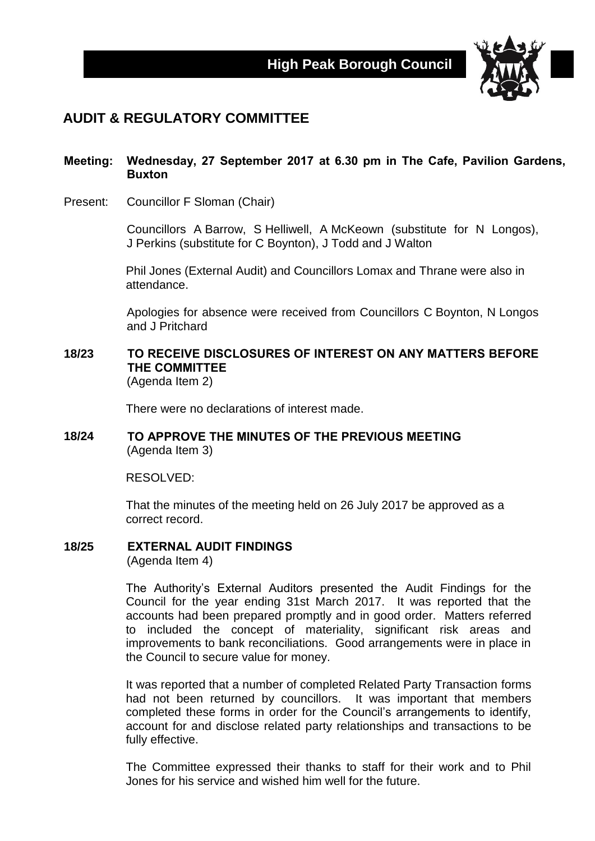

## **AUDIT & REGULATORY COMMITTEE**

#### **Meeting: Wednesday, 27 September 2017 at 6.30 pm in The Cafe, Pavilion Gardens, Buxton**

Present: Councillor F Sloman (Chair)

Councillors A Barrow, S Helliwell, A McKeown (substitute for N Longos), J Perkins (substitute for C Boynton), J Todd and J Walton

Phil Jones (External Audit) and Councillors Lomax and Thrane were also in attendance.

Apologies for absence were received from Councillors C Boynton, N Longos and J Pritchard

# **18/23 TO RECEIVE DISCLOSURES OF INTEREST ON ANY MATTERS BEFORE THE COMMITTEE**

(Agenda Item 2)

There were no declarations of interest made.

#### **18/24 TO APPROVE THE MINUTES OF THE PREVIOUS MEETING** (Agenda Item 3)

RESOLVED:

That the minutes of the meeting held on 26 July 2017 be approved as a correct record.

#### **18/25 EXTERNAL AUDIT FINDINGS**

(Agenda Item 4)

The Authority's External Auditors presented the Audit Findings for the Council for the year ending 31st March 2017. It was reported that the accounts had been prepared promptly and in good order. Matters referred to included the concept of materiality, significant risk areas and improvements to bank reconciliations. Good arrangements were in place in the Council to secure value for money.

It was reported that a number of completed Related Party Transaction forms had not been returned by councillors. It was important that members completed these forms in order for the Council's arrangements to identify, account for and disclose related party relationships and transactions to be fully effective.

The Committee expressed their thanks to staff for their work and to Phil Jones for his service and wished him well for the future.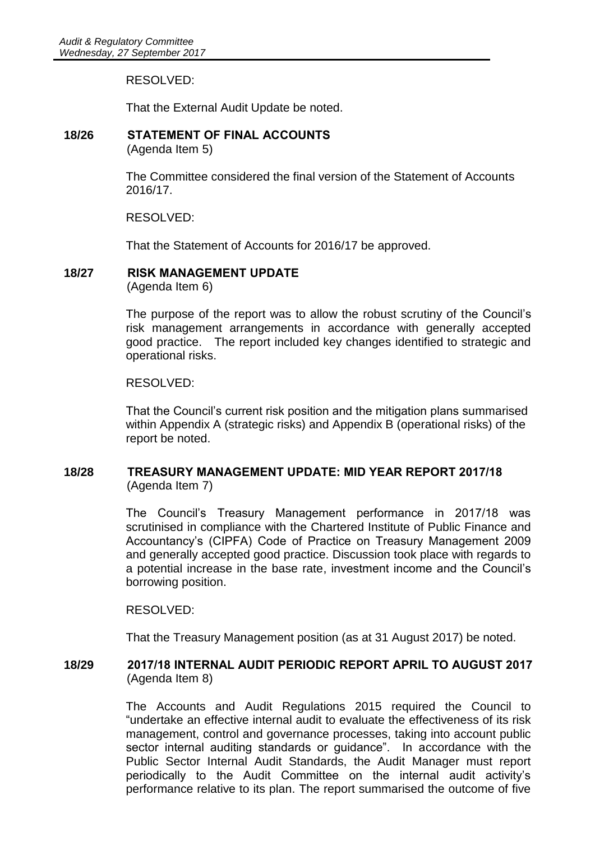RESOLVED:

That the External Audit Update be noted.

# **18/26 STATEMENT OF FINAL ACCOUNTS**

(Agenda Item 5)

The Committee considered the final version of the Statement of Accounts 2016/17.

RESOLVED:

That the Statement of Accounts for 2016/17 be approved.

## **18/27 RISK MANAGEMENT UPDATE**

(Agenda Item 6)

The purpose of the report was to allow the robust scrutiny of the Council's risk management arrangements in accordance with generally accepted good practice. The report included key changes identified to strategic and operational risks.

#### RESOLVED:

That the Council's current risk position and the mitigation plans summarised within Appendix A (strategic risks) and Appendix B (operational risks) of the report be noted.

#### **18/28 TREASURY MANAGEMENT UPDATE: MID YEAR REPORT 2017/18** (Agenda Item 7)

The Council's Treasury Management performance in 2017/18 was scrutinised in compliance with the Chartered Institute of Public Finance and Accountancy's (CIPFA) Code of Practice on Treasury Management 2009 and generally accepted good practice. Discussion took place with regards to a potential increase in the base rate, investment income and the Council's borrowing position.

RESOLVED:

That the Treasury Management position (as at 31 August 2017) be noted.

#### **18/29 2017/18 INTERNAL AUDIT PERIODIC REPORT APRIL TO AUGUST 2017** (Agenda Item 8)

The Accounts and Audit Regulations 2015 required the Council to "undertake an effective internal audit to evaluate the effectiveness of its risk management, control and governance processes, taking into account public sector internal auditing standards or guidance". In accordance with the Public Sector Internal Audit Standards, the Audit Manager must report periodically to the Audit Committee on the internal audit activity's performance relative to its plan. The report summarised the outcome of five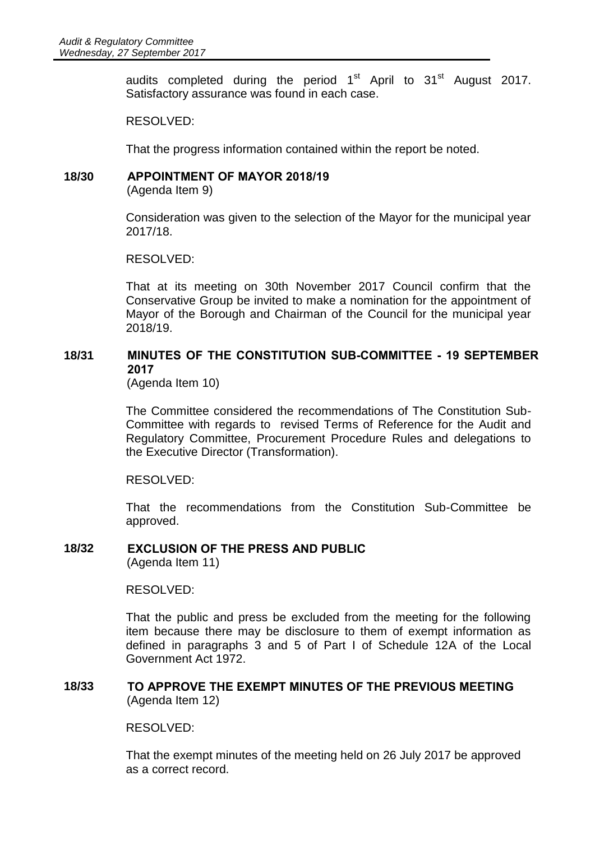audits completed during the period  $1<sup>st</sup>$  April to  $31<sup>st</sup>$  August 2017. Satisfactory assurance was found in each case.

RESOLVED:

That the progress information contained within the report be noted.

#### **18/30 APPOINTMENT OF MAYOR 2018/19**

(Agenda Item 9)

Consideration was given to the selection of the Mayor for the municipal year 2017/18.

#### RESOLVED:

That at its meeting on 30th November 2017 Council confirm that the Conservative Group be invited to make a nomination for the appointment of Mayor of the Borough and Chairman of the Council for the municipal year 2018/19.

### **18/31 MINUTES OF THE CONSTITUTION SUB-COMMITTEE - 19 SEPTEMBER 2017**

(Agenda Item 10)

The Committee considered the recommendations of The Constitution Sub-Committee with regards to revised Terms of Reference for the Audit and Regulatory Committee, Procurement Procedure Rules and delegations to the Executive Director (Transformation).

RESOLVED:

That the recommendations from the Constitution Sub-Committee be approved.

#### **18/32 EXCLUSION OF THE PRESS AND PUBLIC**

(Agenda Item 11)

#### RESOLVED:

That the public and press be excluded from the meeting for the following item because there may be disclosure to them of exempt information as defined in paragraphs 3 and 5 of Part I of Schedule 12A of the Local Government Act 1972.

#### **18/33 TO APPROVE THE EXEMPT MINUTES OF THE PREVIOUS MEETING** (Agenda Item 12)

RESOLVED:

That the exempt minutes of the meeting held on 26 July 2017 be approved as a correct record.